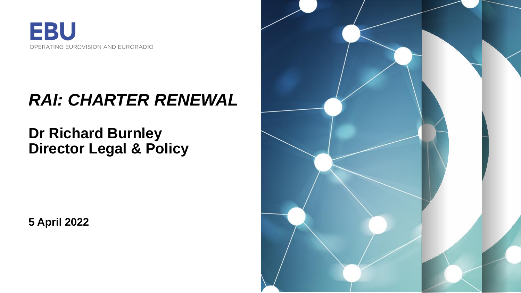

## *RAI: CHARTER RENEWAL*

### **Dr Richard Burnley Director Legal & Policy**

**5 April 2022**

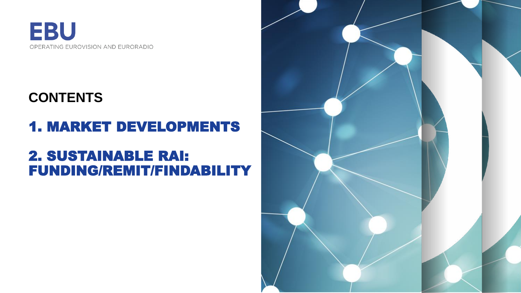

#### **CONTENTS**

## 1. MARKET DEVELOPMENTS

#### 2. SUSTAINABLE RAI: FUNDING/REMIT/FINDABILITY

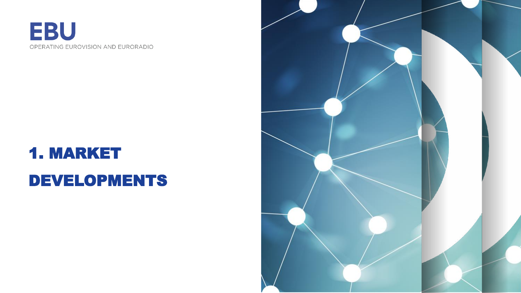

## 1. MARKET DEVELOPMENTS

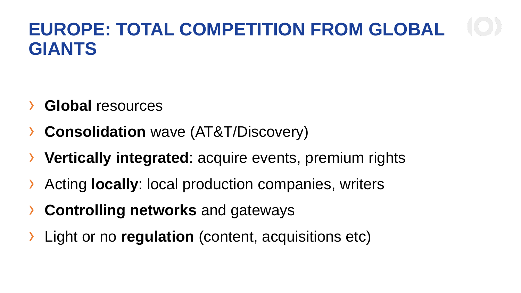## **EUROPE: TOTAL COMPETITION FROM GLOBAL GIANTS**

- › **Global** resources
- **Consolidation** wave (AT&T/Discovery)
- **Vertically integrated:** acquire events, premium rights
- Acting **locally**: local production companies, writers
- › **Controlling networks** and gateways
- Light or no **regulation** (content, acquisitions etc)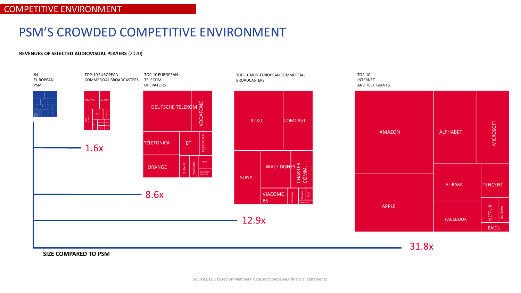#### PSM'S CROWDED COMPETITIVE ENVIRONMENT

#### **REVENUES OF SELECTED AUDIOVISUAL PLAYERS** (2020)



**SIZE COMPARED TO PSM**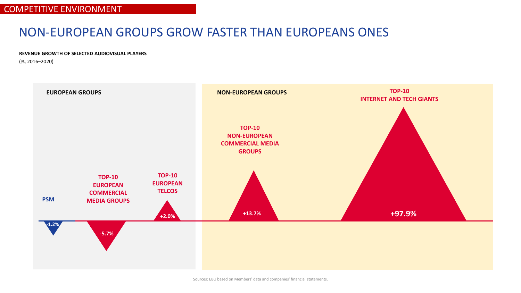#### NON-EUROPEAN GROUPS GROW FASTER THAN EUROPEANS ONES

**REVENUE GROWTH OF SELECTED AUDIOVISUAL PLAYERS**

(%, 2016–2020)

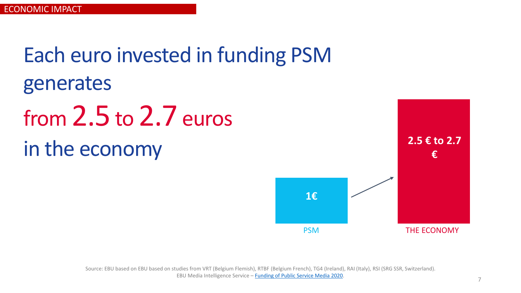Each euro invested in funding PSM generates

# from 2.5 to 2.7 euros in the economy

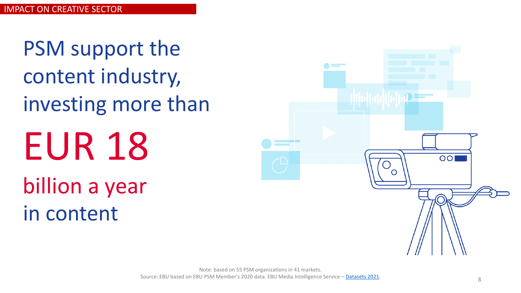EUR 18 billion a year in content PSM support the content industry, investing more than

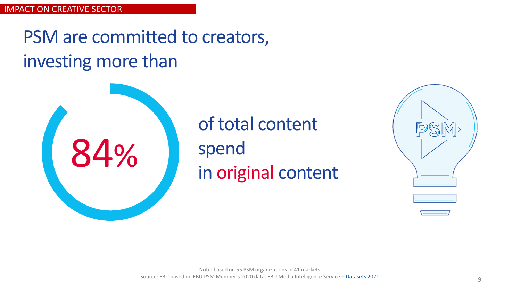## PSM are committed to creators, investing more than



of total content spend in original content

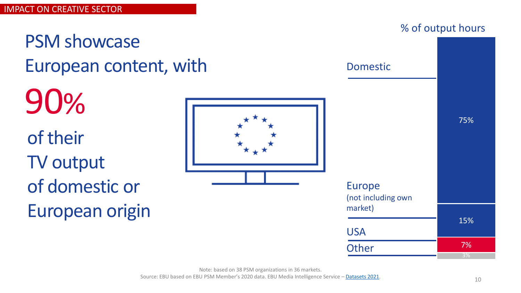90%

# PSM showcase

of their TV output of domestic or European origin



Note: based on 38 PSM organizations in 36 markets.

Source: EBU based on EBU PSM Member's 2020 data. EBU Media Intelligence Service – [Datasets 2021.](https://www.ebu.ch/publications/research/membersonly/dataset/all-datasets-media-intelligence-survey)

% of output hours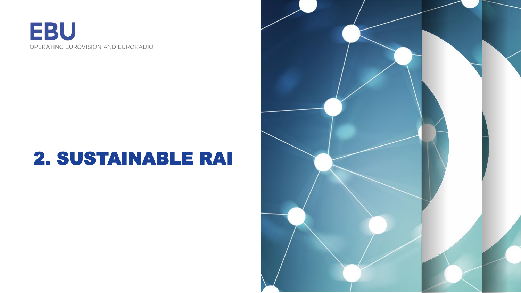

## 2. SUSTAINABLE RAI

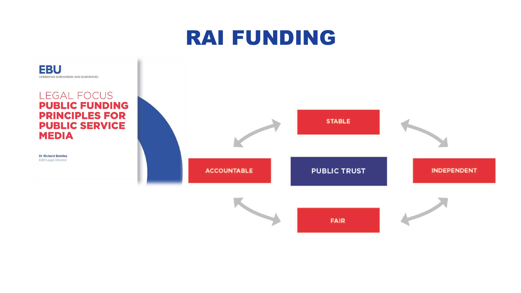## RAI FUNDING

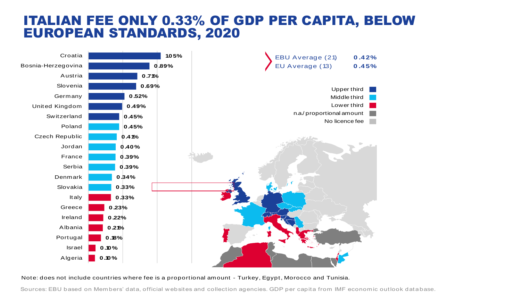#### ITALIAN FEE ONLY 0.33% OF GDP PER CAPITA, BELOW EUROPEAN STANDARDS, 2020



Note: does not include countries w here fee is a proportional amount - Turkey, Egypt, Morocco and Tunisia.

Sources: EBU based on Members' data, official w ebsites and collection agencies. GDP per capita from IMF economic outlook database .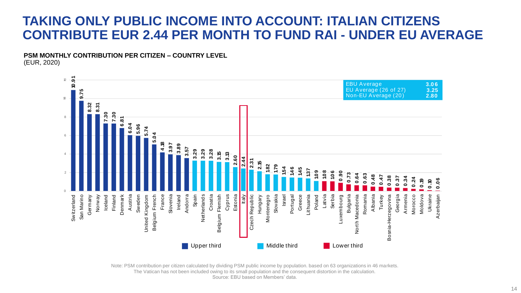#### **TAKING ONLY PUBLIC INCOME INTO ACCOUNT: ITALIAN CITIZENS CONTRIBUTE EUR 2.44 PER MONTH TO FUND RAI - UNDER EU AVERAGE**

**PSM MONTHLY CONTRIBUTION PER CITIZEN – COUNTRY LEVEL** (EUR, 2020)



Note: PSM contribution per citizen calculated by dividing PSM public income by population. based on 63 organizations in 46 markets. The Vatican has not been included owing to its small population and the consequent distortion in the calculation. Source: EBU based on Members' data.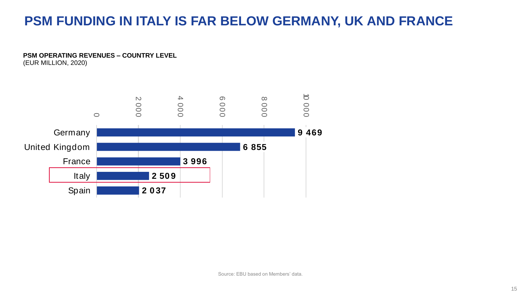#### **PSM FUNDING IN ITALY IS FAR BELOW GERMANY, UK AND FRANCE**

**PSM OPERATING REVENUES – COUNTRY LEVEL** (EUR MILLION, 2020)

**9 469 6 855 3 996 2 50 9 2 0 37**  $\circ$  $\mathbb{N}$ 000  $\blacktriangle$ 000  $\circ$ 000  $\infty$ 000 10 000 **Germany** United Kingdom France Italy Spain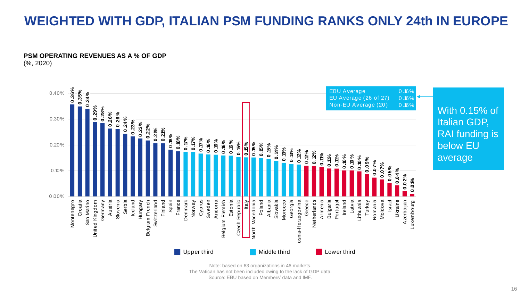#### **WEIGHTED WITH GDP, ITALIAN PSM FUNDING RANKS ONLY 24th IN EUROPE**

#### $\mathcal{L}_{\text{max}}$ **PSM OPERATING REVENUES AS A % OF GDP** (%, 2020)



The Vatican has not been included owing to the lack of GDP data. Source: EBU based on Members' data and IMF.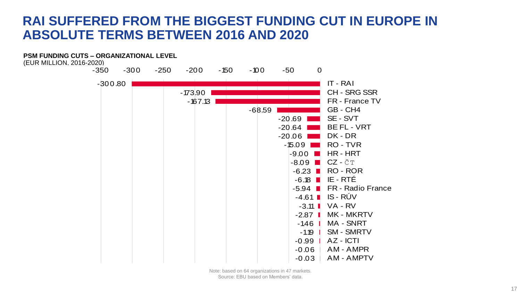#### **RAI SUFFERED FROM THE BIGGEST FUNDING CUT IN EUROPE IN ABSOLUTE TERMS BETWEEN 2016 AND 2020**



Note: based on 64 organizations in 47 markets. Source: EBU based on Members' data.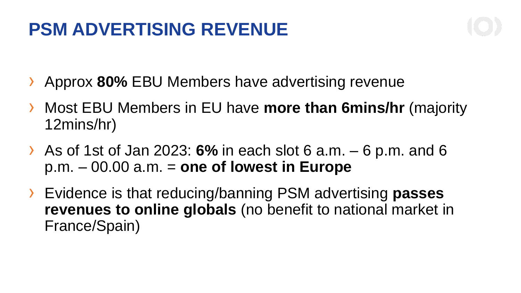## **PSM ADVERTISING REVENUE**

- Approx 80% EBU Members have advertising revenue
- › Most EBU Members in EU have **more than 6mins/hr** (majority 12mins/hr)
- › As of 1st of Jan 2023: **6%** in each slot 6 a.m. 6 p.m. and 6 p.m. – 00.00 a.m. = **one of lowest in Europe**
- › Evidence is that reducing/banning PSM advertising **passes revenues to online globals** (no benefit to national market in France/Spain)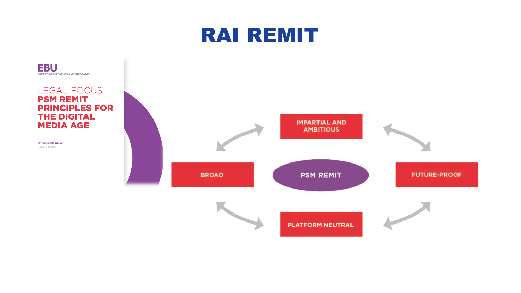## RAI REMIT



**EBU** OPERATING EUROVISION AND EURORADIO

**Dr Richard Burnley**